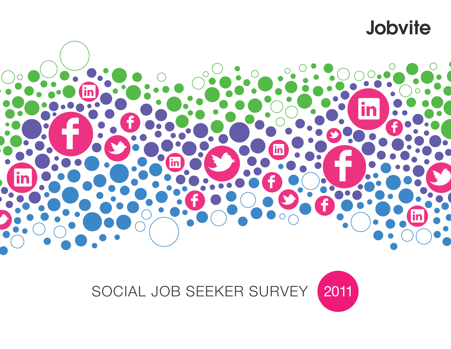



# SOCIAL JOB SEEKER SURVEY 2011

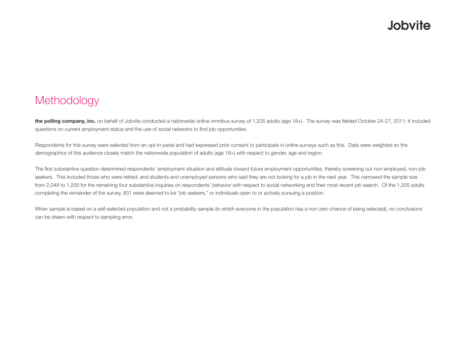#### **Methodology**

the polling company, inc. on behalf of Jobvite conducted a nationwide online omnibus survey of 1,205 adults (age 18+). The survey was fielded October 24-27, 2011; it included questions on current employment status and the use of social networks to find job opportunities.

Respondents for this survey were selected from an opt-in panel and had expressed prior consent to participate in online surveys such as this. Data were weighted so the demographics of this audience closely match the nationwide population of adults (age 18+) with respect to gender, age and region.

The first substantive question determined respondents' employment situation and attitude toward future employment opportunities, thereby screening out non-employed, non-job seekers. This included those who were retired, and students and unemployed persons who said they are not looking for a job in the next year. This narrowed the sample size from 2,049 to 1,205 for the remaining four substantive inquiries on respondents' behavior with respect to social networking and their most recent job search. Of the 1,205 adults completing the remainder of the survey, 831 were deemed to be "job seekers," or individuals open to or actively pursuing a position.

When sample is based on a self-selected population and not a probability sample (in which everyone in the population has a non-zero chance of being selected), no conclusions can be drawn with respect to sampling error.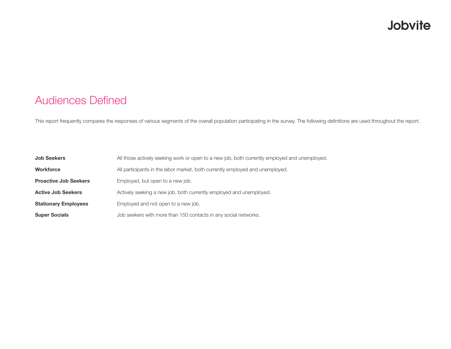#### Audiences Defined

This report frequently compares the responses of various segments of the overall population participating in the survey. The following definitions are used throughout the report.

| <b>Job Seekers</b>           | All those actively seeking work or open to a new job, both currently employed and unemployed. |
|------------------------------|-----------------------------------------------------------------------------------------------|
| <b>Workforce</b>             | All participants in the labor market, both currently employed and unemployed.                 |
| <b>Proactive Job Seekers</b> | Employed, but open to a new job.                                                              |
| <b>Active Job Seekers</b>    | Actively seeking a new job, both currently employed and unemployed.                           |
| <b>Stationary Employees</b>  | Employed and not open to a new job.                                                           |
| <b>Super Socials</b>         | Job seekers with more than 150 contacts in any social networks.                               |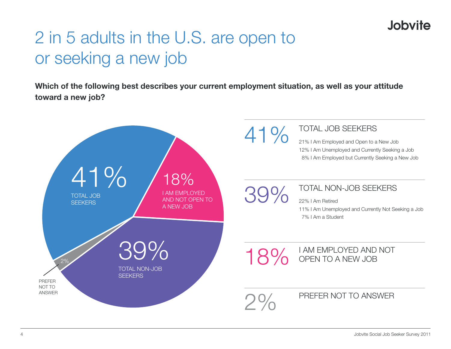# 2 in 5 adults in the U.S. are open to or seeking a new job

**Which of the following best describes your current employment situation, as well as your attitude toward a new job?** 

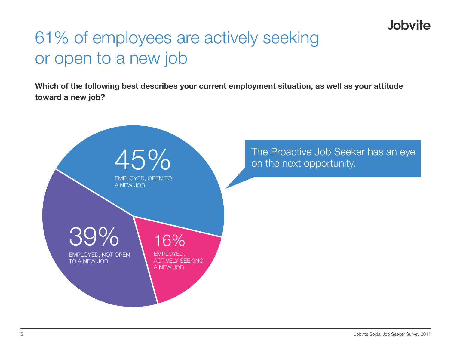# 61% of employees are actively seeking or open to a new job

**Which of the following best describes your current employment situation, as well as your attitude toward a new job?**

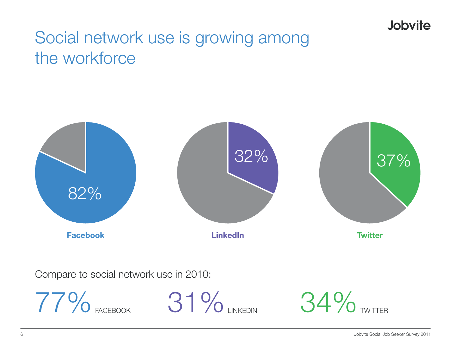## Social network use is growing among the workforce



77% FACEBOOK 31% LINKEDIN 34% TWITTER

Compare to social network use in 2010:

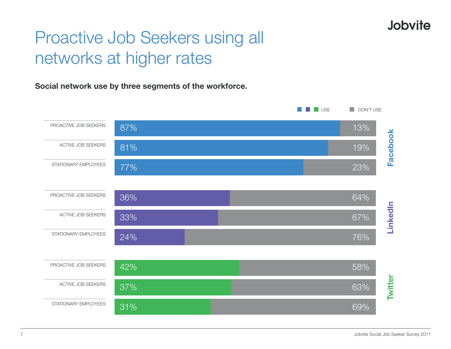## Proactive Job Seekers using all networks at higher rates

**Social network use by three segments of the workforce.**

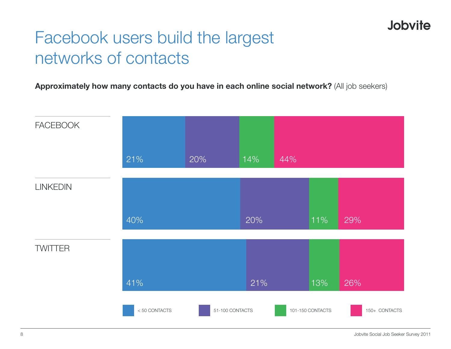## Facebook users build the largest networks of contacts

**Approximately how many contacts do you have in each online social network?** (All job seekers)

![](_page_7_Figure_3.jpeg)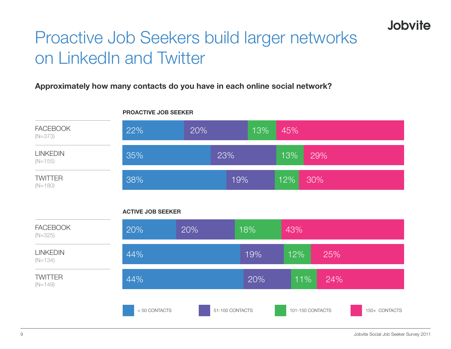# Proactive Job Seekers build larger networks on LinkedIn and Twitter

#### **Approximately how many contacts do you have in each online social network?**

![](_page_8_Figure_3.jpeg)

#### **PROACTIVE JOB SEEKER**

#### **ACTIVE JOB SEEKER**

| <b>FACEBOOK</b><br>$(N=325)$ | 20%          | 20%             | 18% | 43%              |     |               |
|------------------------------|--------------|-----------------|-----|------------------|-----|---------------|
| <b>LINKEDIN</b><br>$(N=134)$ | 44%          |                 | 19% | 12%              | 25% |               |
| <b>TWITTER</b><br>$(N=149)$  | 44%          |                 | 20% | 11%              | 24% |               |
|                              | <50 CONTACTS | 51-100 CONTACTS |     | 101-150 CONTACTS |     | 150+ CONTACTS |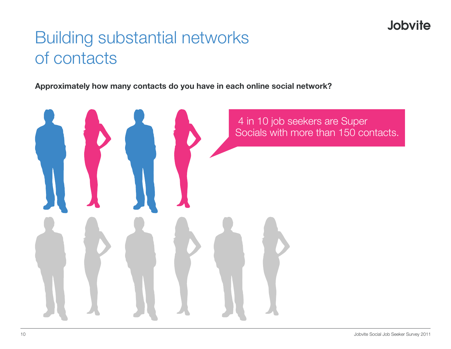## Building substantial networks of contacts

**Approximately how many contacts do you have in each online social network?**

![](_page_9_Picture_3.jpeg)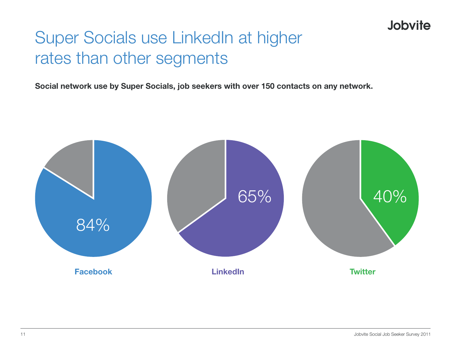## Super Socials use LinkedIn at higher rates than other segments

**Social network use by Super Socials, job seekers with over 150 contacts on any network.**

![](_page_10_Figure_3.jpeg)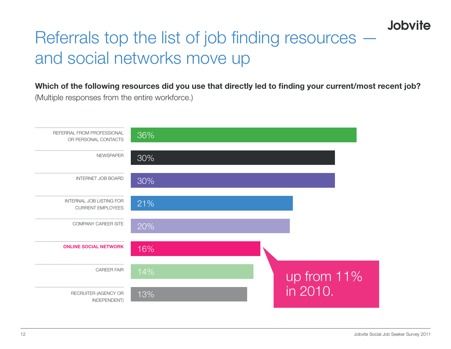## Referrals top the list of job finding resources and social networks move up

**Which of the following resources did you use that directly led to finding your current/most recent job?** (Multiple responses from the entire workforce.)

![](_page_11_Figure_3.jpeg)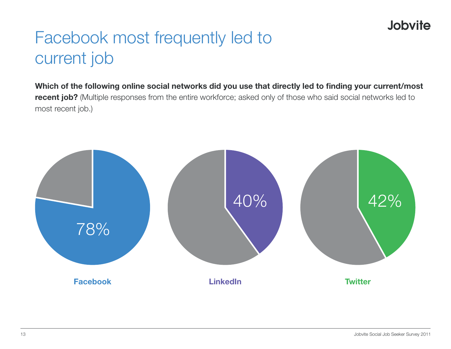## Facebook most frequently led to current job

**Which of the following online social networks did you use that directly led to finding your current/most recent job?** (Multiple responses from the entire workforce; asked only of those who said social networks led to most recent job.)

![](_page_12_Figure_3.jpeg)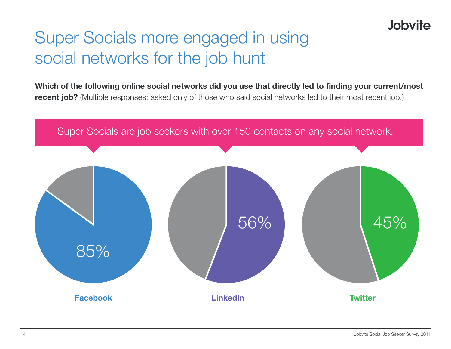# Super Socials more engaged in using social networks for the job hunt

**Which of the following online social networks did you use that directly led to finding your current/most recent job?** (Multiple responses; asked only of those who said social networks led to their most recent job.)

![](_page_13_Figure_3.jpeg)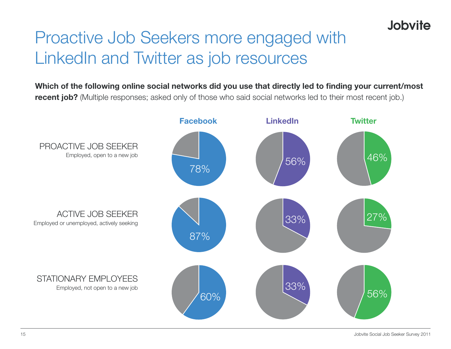![](_page_14_Picture_0.jpeg)

# Proactive Job Seekers more engaged with LinkedIn and Twitter as job resources

**Which of the following online social networks did you use that directly led to finding your current/most recent job?** (Multiple responses; asked only of those who said social networks led to their most recent job.)

![](_page_14_Figure_3.jpeg)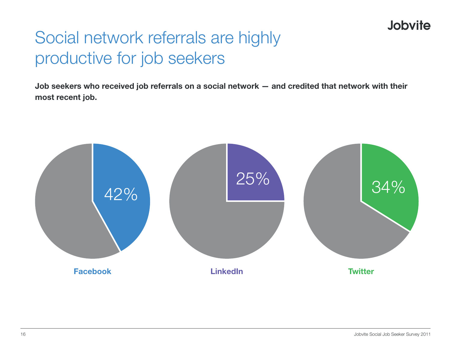## Social network referrals are highly productive for job seekers

**Job seekers who received job referrals on a social network — and credited that network with their most recent job.**

![](_page_15_Figure_3.jpeg)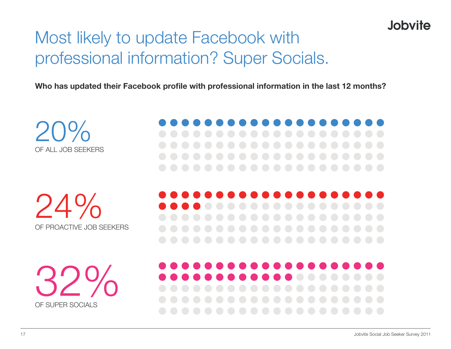## Most likely to update Facebook with professional information? Super Socials.

**Who has updated their Facebook profile with professional information in the last 12 months?**

20% of all job seekers

24% of proactive job seekers

32% OF SUPER SOCIALS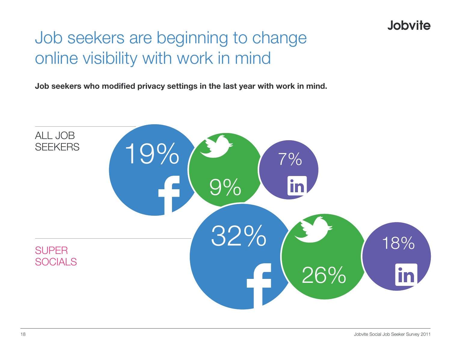## Job seekers are beginning to change online visibility with work in mind

**Job seekers who modified privacy settings in the last year with work in mind.**

![](_page_17_Figure_3.jpeg)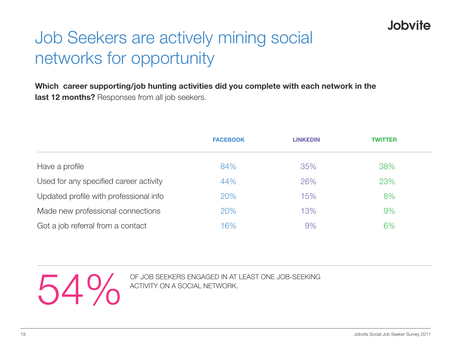# Job Seekers are actively mining social networks for opportunity

**Which career supporting/job hunting activities did you complete with each network in the last 12 months?** Responses from all job seekers.

|                                        | <b>FACEBOOK</b> | <b>LINKEDIN</b> | <b>TWITTER</b> |  |
|----------------------------------------|-----------------|-----------------|----------------|--|
| Have a profile                         | 84%             | 35%             | 38%            |  |
| Used for any specified career activity | 44%             | 26%             | 23%            |  |
| Updated profile with professional info | 20%             | 15%             | 8%             |  |
| Made new professional connections      | 20%             | 13%             | 9%             |  |
| Got a job referral from a contact      | 16%             | 9%              | 6%             |  |

OF JOB SEEKERS ENGAGED IN AT LEAST ONE JOB-SEEKING ACTIVITY ON A SOCIAL NETWORK. activity on a social network.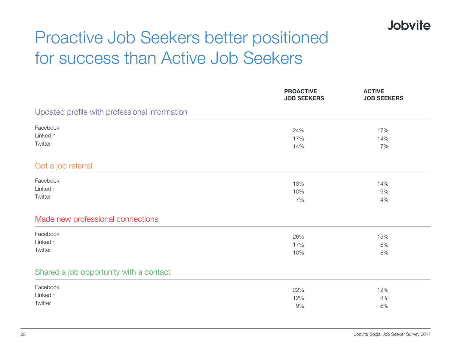# Proactive Job Seekers better positioned for success than Active Job Seekers

|                                               | <b>PROACTIVE</b><br><b>JOB SEEKERS</b> | <b>ACTIVE</b><br><b>JOB SEEKERS</b> |  |  |  |
|-----------------------------------------------|----------------------------------------|-------------------------------------|--|--|--|
| Updated profile with professional information |                                        |                                     |  |  |  |
| Facebook                                      | 24%                                    | 17%                                 |  |  |  |
| LinkedIn                                      | 17%                                    | 14%                                 |  |  |  |
| Twitter                                       | 14%                                    | 7%                                  |  |  |  |
| Got a job referral                            |                                        |                                     |  |  |  |
| Facebook                                      | 18%                                    | 14%                                 |  |  |  |
| LinkedIn                                      | 10%                                    | 9%                                  |  |  |  |
| Twitter                                       | 7%                                     | 4%                                  |  |  |  |
| Made new professional connections             |                                        |                                     |  |  |  |
| Facebook                                      | 26%                                    | 13%                                 |  |  |  |
| LinkedIn                                      | 17%                                    | 8%                                  |  |  |  |
| Twitter                                       | 10%                                    | 8%                                  |  |  |  |
| Shared a job opportunity with a contact       |                                        |                                     |  |  |  |
| Facebook                                      | 22%                                    | 12%                                 |  |  |  |
| LinkedIn                                      | 12%                                    | 8%                                  |  |  |  |
| Twitter                                       | 9%                                     | 8%                                  |  |  |  |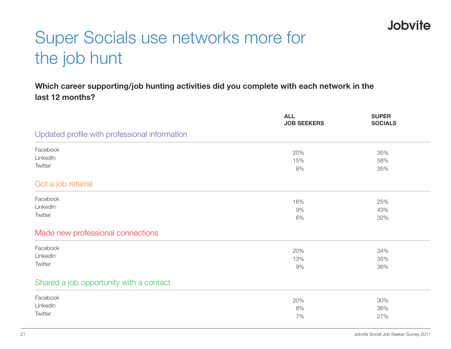# Super Socials use networks more for the job hunt

#### **Which career supporting/job hunting activities did you complete with each network in the last 12 months?**

|                                               | <b>ALL</b><br><b>JOB SEEKERS</b> | <b>SUPER</b><br><b>SOCIALS</b> |
|-----------------------------------------------|----------------------------------|--------------------------------|
| Updated profile with professional information |                                  |                                |
| Facebook                                      | 20%                              | 35%                            |
| LinkedIn                                      | 15%                              | 58%                            |
| Twitter                                       | 8%                               | 35%                            |
| Got a job referral                            |                                  |                                |
| Facebook                                      | 16%                              | 25%                            |
| LinkedIn                                      | 9%                               | 43%                            |
| Twitter                                       | 6%                               | 32%                            |
| Made new professional connections             |                                  |                                |
| Facebook                                      | 20%                              | 34%                            |
| LinkedIn                                      | 13%                              | 35%                            |
| Twitter                                       | 9%                               | 36%                            |
| Shared a job opportunity with a contact       |                                  |                                |
| Facebook                                      | 20%                              | 30%                            |
| LinkedIn                                      | 8%                               | 36%                            |
| Twitter                                       | 7%                               | 27%                            |
|                                               |                                  |                                |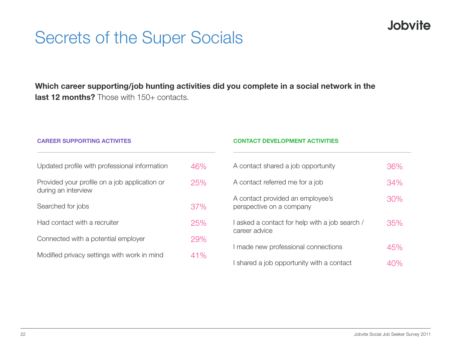## Secrets of the Super Socials

**Which career supporting/job hunting activities did you complete in a social network in the last 12 months?** Those with 150+ contacts.

| <b>CAREER SUPPORTING ACTIVITES</b>                                   |     | <b>CONTACT DEVELOPMENT ACTIVITIES</b>                         |     |  |  |
|----------------------------------------------------------------------|-----|---------------------------------------------------------------|-----|--|--|
| Updated profile with professional information                        | 46% | A contact shared a job opportunity                            | 36% |  |  |
| Provided your profile on a job application or<br>during an interview | 25% | A contact referred me for a job                               | 34% |  |  |
| Searched for jobs                                                    | 37% | A contact provided an employee's<br>perspective on a company  | 30% |  |  |
| Had contact with a recruiter                                         | 25% | asked a contact for help with a job search /<br>career advice | 35% |  |  |
| Connected with a potential employer                                  | 29% |                                                               |     |  |  |
| Modified privacy settings with work in mind                          | 41% | I made new professional connections                           | 45% |  |  |
|                                                                      |     | I shared a job opportunity with a contact                     | 40% |  |  |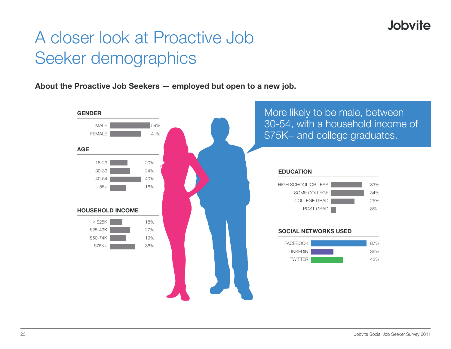## A closer look at Proactive Job Seeker demographics

**About the Proactive Job Seekers — employed but open to a new job.**

![](_page_22_Figure_3.jpeg)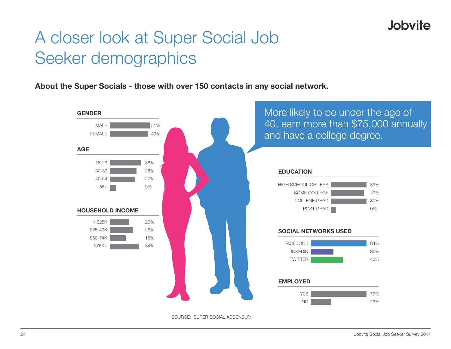## A closer look at Super Social Job Seeker demographics

**About the Super Socials - those with over 150 contacts in any social network.**

![](_page_23_Figure_3.jpeg)

source: super social addendum